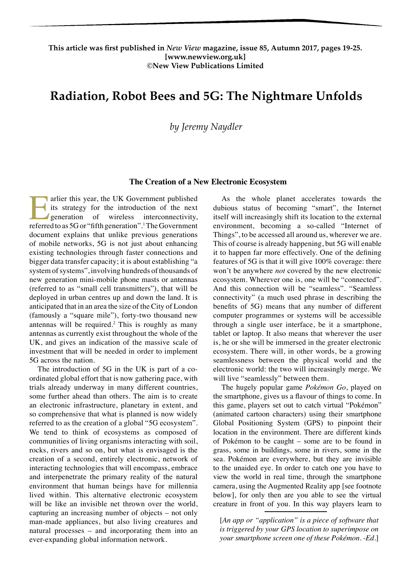## **This article was first published in** *New View* **magazine, issue 85, Autumn 2017, pages 19-25. [www.newview.org.uk] ©New View Publications Limited**

# **Radiation, Robot Bees and 5G: The Nightmare Unfolds**

*by Jeremy Naydler*

#### **The Creation of a New Electronic Ecosystem**

Farlier this year, the UK Government published<br>its strategy for the introduction of the next<br>generation of wireless interconnectivity,<br>referred to as 5G or "fifth generation".<sup>1</sup>The Government its strategy for the introduction of the next **generation** of wireless interconnectivity, referred to as 5G or "fifth generation".<sup>1</sup> The Government document explains that unlike previous generations of mobile networks, 5G is not just about enhancing existing technologies through faster connections and bigger data transfer capacity; it is about establishing "a system of systems", involving hundreds of thousands of new generation mini-mobile phone masts or antennas (referred to as "small cell transmitters"), that will be deployed in urban centres up and down the land. It is anticipated that in an area the size of the City of London (famously a "square mile"), forty-two thousand new antennas will be required.<sup>2</sup> This is roughly as many antennas as currently exist throughout the whole of the UK, and gives an indication of the massive scale of investment that will be needed in order to implement 5G across the nation.

The introduction of 5G in the UK is part of a coordinated global effort that is now gathering pace, with trials already underway in many different countries, some further ahead than others. The aim is to create an electronic infrastructure, planetary in extent, and so comprehensive that what is planned is now widely referred to as the creation of a global "5G ecosystem". We tend to think of ecosystems as composed of communities of living organisms interacting with soil, rocks, rivers and so on, but what is envisaged is the creation of a second, entirely electronic, network of interacting technologies that will encompass, embrace and interpenetrate the primary reality of the natural environment that human beings have for millennia lived within. This alternative electronic ecosystem will be like an invisible net thrown over the world, capturing an increasing number of objects – not only man-made appliances, but also living creatures and natural processes – and incorporating them into an ever-expanding global information network.

As the whole planet accelerates towards the dubious status of becoming "smart", the Internet itself will increasingly shift its location to the external environment, becoming a so-called "Internet of Things", to be accessed all around us, wherever we are. This of course is already happening, but 5G will enable it to happen far more effectively. One of the defining features of 5G is that it will give 100% coverage: there won't be anywhere *not* covered by the new electronic ecosystem. Wherever one is, one will be "connected". And this connection will be "seamless". "Seamless connectivity" (a much used phrase in describing the benefits of 5G) means that any number of different computer programmes or systems will be accessible through a single user interface, be it a smartphone, tablet or laptop. It also means that wherever the user is, he or she will be immersed in the greater electronic ecosystem. There will, in other words, be a growing seamlessness between the physical world and the electronic world: the two will increasingly merge. We will live "seamlessly" between them.

The hugely popular game *Pokémon Go*, played on the smartphone, gives us a flavour of things to come. In this game, players set out to catch virtual "Pokémon" (animated cartoon characters) using their smartphone Global Positioning System (GPS) to pinpoint their location in the environment. There are different kinds of Pokémon to be caught – some are to be found in grass, some in buildings, some in rivers, some in the sea. Pokémon are everywhere, but they are invisible to the unaided eye. In order to catch one you have to view the world in real time, through the smartphone camera, using the Augmented Reality app [see footnote below], for only then are you able to see the virtual creature in front of you. In this way players learn to

[*An app or "application" is a piece of software that is triggered by your GPS location to superimpose on your smartphone screen one of these Pokémon. -Ed.*]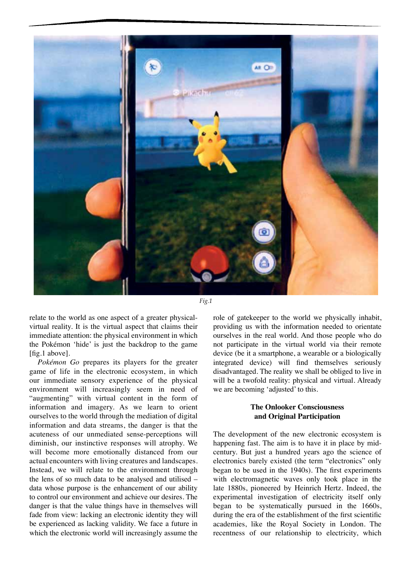

*Fig.1*

relate to the world as one aspect of a greater physicalvirtual reality. It is the virtual aspect that claims their immediate attention: the physical environment in which the Pokémon 'hide' is just the backdrop to the game [fig.1 above].

*Pokémon Go* prepares its players for the greater game of life in the electronic ecosystem, in which our immediate sensory experience of the physical environment will increasingly seem in need of "augmenting" with virtual content in the form of information and imagery. As we learn to orient ourselves to the world through the mediation of digital information and data streams, the danger is that the acuteness of our unmediated sense-perceptions will diminish, our instinctive responses will atrophy. We will become more emotionally distanced from our actual encounters with living creatures and landscapes. Instead, we will relate to the environment through the lens of so much data to be analysed and utilised – data whose purpose is the enhancement of our ability to control our environment and achieve our desires. The danger is that the value things have in themselves will fade from view: lacking an electronic identity they will be experienced as lacking validity. We face a future in which the electronic world will increasingly assume the

role of gatekeeper to the world we physically inhabit, providing us with the information needed to orientate ourselves in the real world. And those people who do not participate in the virtual world via their remote device (be it a smartphone, a wearable or a biologically integrated device) will find themselves seriously disadvantaged. The reality we shall be obliged to live in will be a twofold reality: physical and virtual. Already we are becoming 'adjusted' to this.

## **The Onlooker Consciousness and Original Participation**

The development of the new electronic ecosystem is happening fast. The aim is to have it in place by midcentury. But just a hundred years ago the science of electronics barely existed (the term "electronics" only began to be used in the 1940s). The first experiments with electromagnetic waves only took place in the late 1880s, pioneered by Heinrich Hertz. Indeed, the experimental investigation of electricity itself only began to be systematically pursued in the 1660s, during the era of the establishment of the first scientific academies, like the Royal Society in London. The recentness of our relationship to electricity, which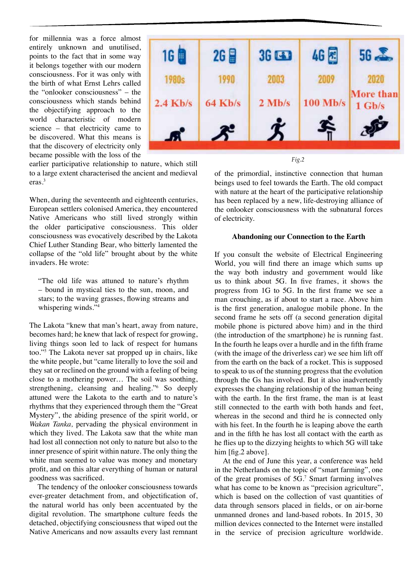for millennia was a force almost entirely unknown and unutilised, points to the fact that in some way it belongs together with our modern consciousness. For it was only with the birth of what Ernst Lehrs called the "onlooker consciousness" – the consciousness which stands behind the objectifying approach to the world characteristic of modern science – that electricity came to be discovered. What this means is that the discovery of electricity only became possible with the loss of the



*Fig.2*

of the primordial, instinctive connection that human beings used to feel towards the Earth. The old compact with nature at the heart of the participative relationship has been replaced by a new, life-destroying alliance of the onlooker consciousness with the subnatural forces of electricity.

### **Abandoning our Connection to the Earth**

If you consult the website of Electrical Engineering World, you will find there an image which sums up the way both industry and government would like us to think about 5G. In five frames, it shows the progress from 1G to 5G. In the first frame we see a man crouching, as if about to start a race. Above him is the first generation, analogue mobile phone. In the second frame he sets off (a second generation digital mobile phone is pictured above him) and in the third (the introduction of the smartphone) he is running fast. In the fourth he leaps over a hurdle and in the fifth frame (with the image of the driverless car) we see him lift off from the earth on the back of a rocket. This is supposed to speak to us of the stunning progress that the evolution through the Gs has involved. But it also inadvertently expresses the changing relationship of the human being with the earth. In the first frame, the man is at least still connected to the earth with both hands and feet, whereas in the second and third he is connected only with his feet. In the fourth he is leaping above the earth and in the fifth he has lost all contact with the earth as he flies up to the dizzying heights to which 5G will take him [fig.2 above].

At the end of June this year, a conference was held in the Netherlands on the topic of "smart farming", one of the great promises of 5G.<sup>7</sup> Smart farming involves what has come to be known as "precision agriculture", which is based on the collection of vast quantities of data through sensors placed in fields, or on air-borne unmanned drones and land-based robots. In 2015, 30 million devices connected to the Internet were installed in the service of precision agriculture worldwide.

earlier participative relationship to nature, which still to a large extent characterised the ancient and medieval eras.<sup>3</sup>

When, during the seventeenth and eighteenth centuries, European settlers colonised America, they encountered Native Americans who still lived strongly within the older participative consciousness. This older consciousness was evocatively described by the Lakota Chief Luther Standing Bear, who bitterly lamented the collapse of the "old life" brought about by the white invaders. He wrote:

"The old life was attuned to nature's rhythm – bound in mystical ties to the sun, moon, and stars; to the waving grasses, flowing streams and whispering winds."<sup>4</sup>

The Lakota "knew that man's heart, away from nature, becomes hard; he knew that lack of respect for growing, living things soon led to lack of respect for humans too."<sup>5</sup> The Lakota never sat propped up in chairs, like the white people, but "came literally to love the soil and they sat or reclined on the ground with a feeling of being close to a mothering power… The soil was soothing, strengthening, cleansing and healing."<sup>6</sup> So deeply attuned were the Lakota to the earth and to nature's rhythms that they experienced through them the "Great Mystery", the abiding presence of the spirit world, or *Wakan Tanka,* pervading the physical environment in which they lived. The Lakota saw that the white man had lost all connection not only to nature but also to the inner presence of spirit within nature. The only thing the white man seemed to value was money and monetary profit, and on this altar everything of human or natural goodness was sacrificed.

The tendency of the onlooker consciousness towards ever-greater detachment from, and objectification of, the natural world has only been accentuated by the digital revolution. The smartphone culture feeds the detached, objectifying consciousness that wiped out the Native Americans and now assaults every last remnant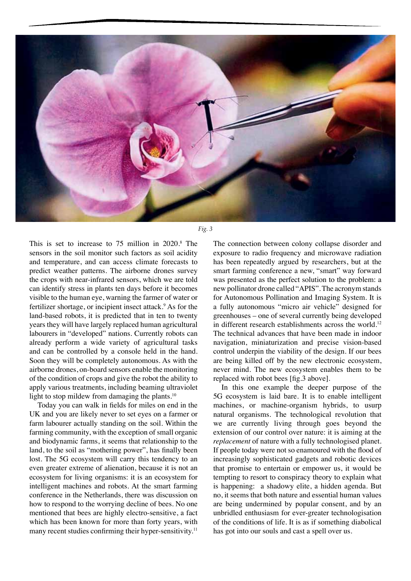

*Fig. 3*

This is set to increase to  $75$  million in  $2020$ .<sup>8</sup> The sensors in the soil monitor such factors as soil acidity and temperature, and can access climate forecasts to predict weather patterns. The airborne drones survey the crops with near-infrared sensors, which we are told can identify stress in plants ten days before it becomes visible to the human eye, warning the farmer of water or fertilizer shortage, or incipient insect attack.<sup>9</sup> As for the land-based robots, it is predicted that in ten to twenty years they will have largely replaced human agricultural labourers in "developed" nations. Currently robots can already perform a wide variety of agricultural tasks and can be controlled by a console held in the hand. Soon they will be completely autonomous. As with the airborne drones, on-board sensors enable the monitoring of the condition of crops and give the robot the ability to apply various treatments, including beaming ultraviolet light to stop mildew from damaging the plants. $10$ 

Today you can walk in fields for miles on end in the UK and you are likely never to set eyes on a farmer or farm labourer actually standing on the soil. Within the farming community, with the exception of small organic and biodynamic farms, it seems that relationship to the land, to the soil as "mothering power", has finally been lost. The 5G ecosystem will carry this tendency to an even greater extreme of alienation, because it is not an ecosystem for living organisms: it is an ecosystem for intelligent machines and robots. At the smart farming conference in the Netherlands, there was discussion on how to respond to the worrying decline of bees. No one mentioned that bees are highly electro-sensitive, a fact which has been known for more than forty years, with many recent studies confirming their hyper-sensitivity.<sup>11</sup>

The connection between colony collapse disorder and exposure to radio frequency and microwave radiation has been repeatedly argued by researchers, but at the smart farming conference a new, "smart" way forward was presented as the perfect solution to the problem: a new pollinator drone called "APIS". The acronym stands for Autonomous Pollination and Imaging System. It is a fully autonomous "micro air vehicle" designed for greenhouses – one of several currently being developed in different research establishments across the world.<sup>12</sup> The technical advances that have been made in indoor navigation, miniaturization and precise vision-based control underpin the viability of the design. If our bees are being killed off by the new electronic ecosystem, never mind. The new ecosystem enables them to be replaced with robot bees [fig.3 above].

In this one example the deeper purpose of the 5G ecosystem is laid bare. It is to enable intelligent machines, or machine-organism hybrids, to usurp natural organisms. The technological revolution that we are currently living through goes beyond the extension of our control over nature: it is aiming at the *replacement* of nature with a fully technologised planet. If people today were not so enamoured with the flood of increasingly sophisticated gadgets and robotic devices that promise to entertain or empower us, it would be tempting to resort to conspiracy theory to explain what is happening: a shadowy elite, a hidden agenda. But no, it seems that both nature and essential human values are being undermined by popular consent, and by an unbridled enthusiasm for ever-greater technologisation of the conditions of life. It is as if something diabolical has got into our souls and cast a spell over us.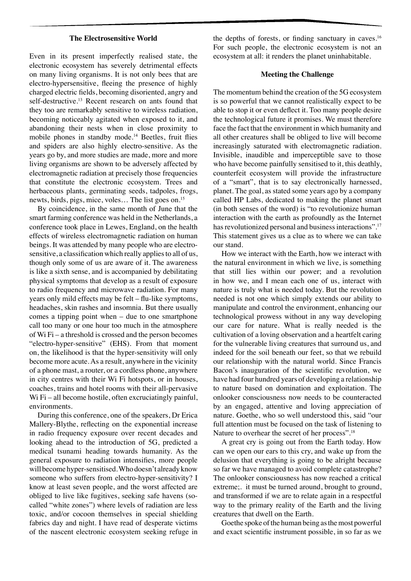#### **The Electrosensitive World**

Even in its present imperfectly realised state, the electronic ecosystem has severely detrimental effects on many living organisms. It is not only bees that are electro-hypersensitive, fleeing the presence of highly charged electric fields, becoming disoriented, angry and self-destructive.<sup>13</sup> Recent research on ants found that they too are remarkably sensitive to wireless radiation, becoming noticeably agitated when exposed to it, and abandoning their nests when in close proximity to mobile phones in standby mode.<sup>14</sup> Beetles, fruit flies and spiders are also highly electro-sensitive. As the years go by, and more studies are made, more and more living organisms are shown to be adversely affected by electromagnetic radiation at precisely those frequencies that constitute the electronic ecosystem. Trees and herbaceous plants, germinating seeds, tadpoles, frogs, newts, birds, pigs, mice, voles... The list goes on.<sup>15</sup>

By coincidence, in the same month of June that the smart farming conference was held in the Netherlands, a conference took place in Lewes, England, on the health effects of wireless electromagnetic radiation on human beings. It was attended by many people who are electrosensitive, a classification which really applies to all of us, though only some of us are aware of it. The awareness is like a sixth sense, and is accompanied by debilitating physical symptoms that develop as a result of exposure to radio frequency and microwave radiation. For many years only mild effects may be felt – flu-like symptoms, headaches, skin rashes and insomnia. But there usually comes a tipping point when – due to one smartphone call too many or one hour too much in the atmosphere of Wi Fi – a threshold is crossed and the person becomes "electro-hyper-sensitive" (EHS). From that moment on, the likelihood is that the hyper-sensitivity will only become more acute. As a result, anywhere in the vicinity of a phone mast, a router, or a cordless phone, anywhere in city centres with their Wi Fi hotspots, or in houses, coaches, trains and hotel rooms with their all-pervasive Wi Fi – all become hostile, often excruciatingly painful, environments.

During this conference, one of the speakers, Dr Erica Mallery-Blythe, reflecting on the exponential increase in radio frequency exposure over recent decades and looking ahead to the introduction of 5G, predicted a medical tsunami heading towards humanity. As the general exposure to radiation intensifies, more people will become hyper-sensitised. Who doesn't already know someone who suffers from electro-hyper-sensitivity? I know at least seven people, and the worst affected are obliged to live like fugitives, seeking safe havens (socalled "white zones") where levels of radiation are less toxic, and/or cocoon themselves in special shielding fabrics day and night. I have read of desperate victims of the nascent electronic ecosystem seeking refuge in

the depths of forests, or finding sanctuary in caves.<sup>16</sup> For such people, the electronic ecosystem is not an ecosystem at all: it renders the planet uninhabitable.

#### **Meeting the Challenge**

The momentum behind the creation of the 5G ecosystem is so powerful that we cannot realistically expect to be able to stop it or even deflect it. Too many people desire the technological future it promises. We must therefore face the fact that the environment in which humanity and all other creatures shall be obliged to live will become increasingly saturated with electromagnetic radiation. Invisible, inaudible and imperceptible save to those who have become painfully sensitised to it, this deathly, counterfeit ecosystem will provide the infrastructure of a "smart", that is to say electronically harnessed, planet. The goal, as stated some years ago by a company called HP Labs, dedicated to making the planet smart (in both senses of the word) is "to revolutionize human interaction with the earth as profoundly as the Internet has revolutionized personal and business interactions".<sup>17</sup> This statement gives us a clue as to where we can take our stand.

How we interact with the Earth, how we interact with the natural environment in which we live, is something that still lies within our power; and a revolution in how we, and I mean each one of us, interact with nature is truly what is needed today. But the revolution needed is not one which simply extends our ability to manipulate and control the environment, enhancing our technological prowess without in any way developing our care for nature. What is really needed is the cultivation of a loving observation and a heartfelt caring for the vulnerable living creatures that surround us, and indeed for the soil beneath our feet, so that we rebuild our relationship with the natural world. Since Francis Bacon's inauguration of the scientific revolution, we have had four hundred years of developing a relationship to nature based on domination and exploitation. The onlooker consciousness now needs to be counteracted by an engaged, attentive and loving appreciation of nature. Goethe, who so well understood this, said "our full attention must be focused on the task of listening to Nature to overhear the secret of her process".<sup>18</sup>

A great cry is going out from the Earth today. How can we open our ears to this cry, and wake up from the delusion that everything is going to be alright because so far we have managed to avoid complete catastrophe? The onlooker consciousness has now reached a critical extreme;. it must be turned around, brought to ground, and transformed if we are to relate again in a respectful way to the primary reality of the Earth and the living creatures that dwell on the Earth.

Goethe spoke of the human being as the most powerful and exact scientific instrument possible, in so far as we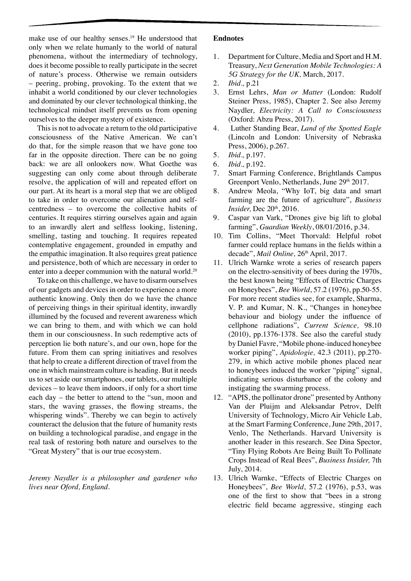make use of our healthy senses.<sup>19</sup> He understood that only when we relate humanly to the world of natural phenomena, without the intermediary of technology, does it become possible to really participate in the secret of nature's process. Otherwise we remain outsiders – peering, probing, provoking. To the extent that we inhabit a world conditioned by our clever technologies and dominated by our clever technological thinking, the technological mindset itself prevents us from opening ourselves to the deeper mystery of existence.

This is not to advocate a return to the old participative consciousness of the Native American. We can't do that, for the simple reason that we have gone too far in the opposite direction. There can be no going back: we are all onlookers now. What Goethe was suggesting can only come about through deliberate resolve, the application of will and repeated effort on our part. At its heart is a moral step that we are obliged to take in order to overcome our alienation and selfcentredness – to overcome the collective habits of centuries. It requires stirring ourselves again and again to an inwardly alert and selfless looking, listening, smelling, tasting and touching. It requires repeated contemplative engagement, grounded in empathy and the empathic imagination. It also requires great patience and persistence, both of which are necessary in order to enter into a deeper communion with the natural world.<sup>20</sup>

To take on this challenge, we have to disarm ourselves of our gadgets and devices in order to experience a more authentic knowing. Only then do we have the chance of perceiving things in their spiritual identity, inwardly illumined by the focused and reverent awareness which we can bring to them, and with which we can hold them in our consciousness. In such redemptive acts of perception lie both nature's, and our own, hope for the future. From them can spring initiatives and resolves that help to create a different direction of travel from the one in which mainstream culture is heading. But it needs us to set aside our smartphones, our tablets, our multiple devices – to leave them indoors, if only for a short time each day – the better to attend to the "sun, moon and stars, the waving grasses, the flowing streams, the whispering winds". Thereby we can begin to actively counteract the delusion that the future of humanity rests on building a technological paradise, and engage in the real task of restoring both nature and ourselves to the "Great Mystery" that is our true ecosystem.

*Jeremy Naydler is a philosopher and gardener who lives near Oford, England.*

## **Endnotes**

- 1. Department for Culture, Media and Sport and H.M. Treasury, *Next Generation Mobile Technologies: A 5G Strategy for the UK,* March, 2017.
- 2. *Ibid.,* p.21
- 3. Ernst Lehrs, *Man or Matter* (London: Rudolf Steiner Press, 1985), Chapter 2. See also Jeremy Naydler, *Electricity: A Call to Consciousness*  (Oxford: Abzu Press, 2017).
- 4. Luther Standing Bear, *Land of the Spotted Eagle*  (Lincoln and London: University of Nebraska Press, 2006), p.267.
- 5. *Ibid.,* p.197.
- 6. *Ibid.,* p.192.
- 7. Smart Farming Conference, Brightlands Campus Greenport Venlo, Netherlands, June 29<sup>th</sup> 2017.
- 8. Andrew Meola, "Why IoT, big data and smart farming are the future of agriculture", *Business Insider*, Dec 20<sup>th</sup>, 2016.
- 9. Caspar van Vark, "Drones give big lift to global farming", *Guardian Weekly*, 08/01/2016, p.34.
- 10. Tim Collins, "Meet Thorvald: Helpful robot farmer could replace humans in the fields within a decade", *Mail Online*, 26<sup>th</sup> April, 2017.
- 11. Ulrich Warnke wrote a series of research papers on the electro-sensitivity of bees during the 1970s, the best known being "Effects of Electric Charges on Honeybees", *Bee World*, 57.2 (1976), pp.50-55. For more recent studies see, for example, Sharma, V. P. and Kumar, N. K., "Changes in honeybee behaviour and biology under the influence of cellphone radiations", *Current Science,* 98.10 (2010), pp.1376-1378. See also the careful study by Daniel Favre, "Mobile phone-induced honeybee worker piping", *Apidologie,* 42.3 (2011), pp.270- 279, in which active mobile phones placed near to honeybees induced the worker "piping" signal, indicating serious disturbance of the colony and instigating the swarming process.
- 12. "APIS, the pollinator drone" presented by Anthony Van der Pluijm and Aleksandar Petrov, Delft University of Technology, Micro Air Vehicle Lab, at the Smart Farming Conference, June 29th, 2017, Venlo, The Netherlands. Harvard University is another leader in this research. See Dina Spector, "Tiny Flying Robots Are Being Built To Pollinate Crops Instead of Real Bees", *Business Insider,* 7th July, 2014.
- 13. Ulrich Warnke, "Effects of Electric Charges on Honeybees", *Bee World*, 57.2 (1976), p.53, was one of the first to show that "bees in a strong electric field became aggressive, stinging each